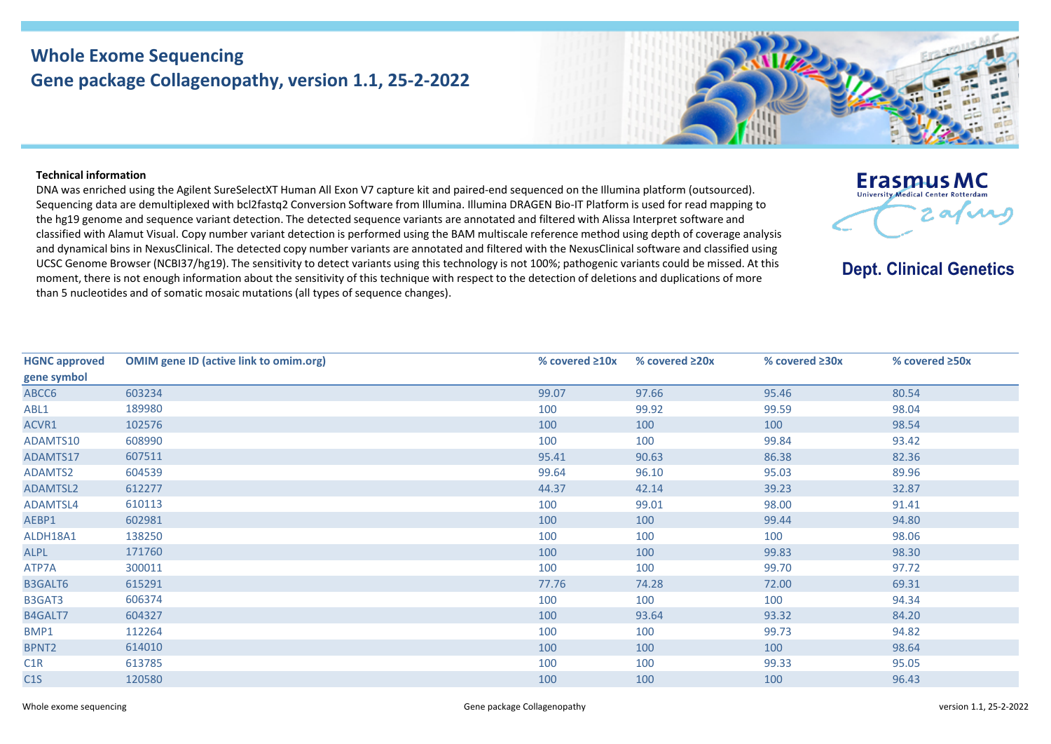## **Whole Exome Sequencing Gene package Collagenopathy, version 1.1, 25-2-2022**



**Erasmus MC** University Medical Center Rotterdan

**Dept. Clinical Genetics** 

2 av v

## **Technical information**

DNA was enriched using the Agilent SureSelectXT Human All Exon V7 capture kit and paired-end sequenced on the Illumina platform (outsourced). Sequencing data are demultiplexed with bcl2fastq2 Conversion Software from Illumina. Illumina DRAGEN Bio-IT Platform is used for read mapping to the hg19 genome and sequence variant detection. The detected sequence variants are annotated and filtered with Alissa Interpret software and classified with Alamut Visual. Copy number variant detection is performed using the BAM multiscale reference method using depth of coverage analysis and dynamical bins in NexusClinical. The detected copy number variants are annotated and filtered with the NexusClinical software and classified using UCSC Genome Browser (NCBI37/hg19). The sensitivity to detect variants using this technology is not 100%; pathogenic variants could be missed. At this moment, there is not enough information about the sensitivity of this technique with respect to the detection of deletions and duplications of more than 5 nucleotides and of somatic mosaic mutations (all types of sequence changes).

| <b>HGNC approved</b> | <b>OMIM gene ID (active link to omim.org)</b> | % covered $\geq 10x$ | % covered $\geq 20x$ | % covered $\geq 30x$ | % covered ≥50x |
|----------------------|-----------------------------------------------|----------------------|----------------------|----------------------|----------------|
| gene symbol          |                                               |                      |                      |                      |                |
| ABCC6                | 603234                                        | 99.07                | 97.66                | 95.46                | 80.54          |
| ABL1                 | 189980                                        | 100                  | 99.92                | 99.59                | 98.04          |
| ACVR1                | 102576                                        | 100                  | 100                  | 100                  | 98.54          |
| ADAMTS10             | 608990                                        | 100                  | 100                  | 99.84                | 93.42          |
| ADAMTS17             | 607511                                        | 95.41                | 90.63                | 86.38                | 82.36          |
| ADAMTS2              | 604539                                        | 99.64                | 96.10                | 95.03                | 89.96          |
| <b>ADAMTSL2</b>      | 612277                                        | 44.37                | 42.14                | 39.23                | 32.87          |
| <b>ADAMTSL4</b>      | 610113                                        | 100                  | 99.01                | 98.00                | 91.41          |
| AEBP1                | 602981                                        | 100                  | 100                  | 99.44                | 94.80          |
| ALDH18A1             | 138250                                        | 100                  | 100                  | 100                  | 98.06          |
| ALPL                 | 171760                                        | 100                  | 100                  | 99.83                | 98.30          |
| ATP7A                | 300011                                        | 100                  | 100                  | 99.70                | 97.72          |
| B3GALT6              | 615291                                        | 77.76                | 74.28                | 72.00                | 69.31          |
| B3GAT3               | 606374                                        | 100                  | 100                  | 100                  | 94.34          |
| B4GALT7              | 604327                                        | 100                  | 93.64                | 93.32                | 84.20          |
| BMP1                 | 112264                                        | 100                  | 100                  | 99.73                | 94.82          |
| BPNT2                | 614010                                        | 100                  | 100                  | 100                  | 98.64          |
| C1R                  | 613785                                        | 100                  | 100                  | 99.33                | 95.05          |
| C1S                  | 120580                                        | 100                  | 100                  | 100                  | 96.43          |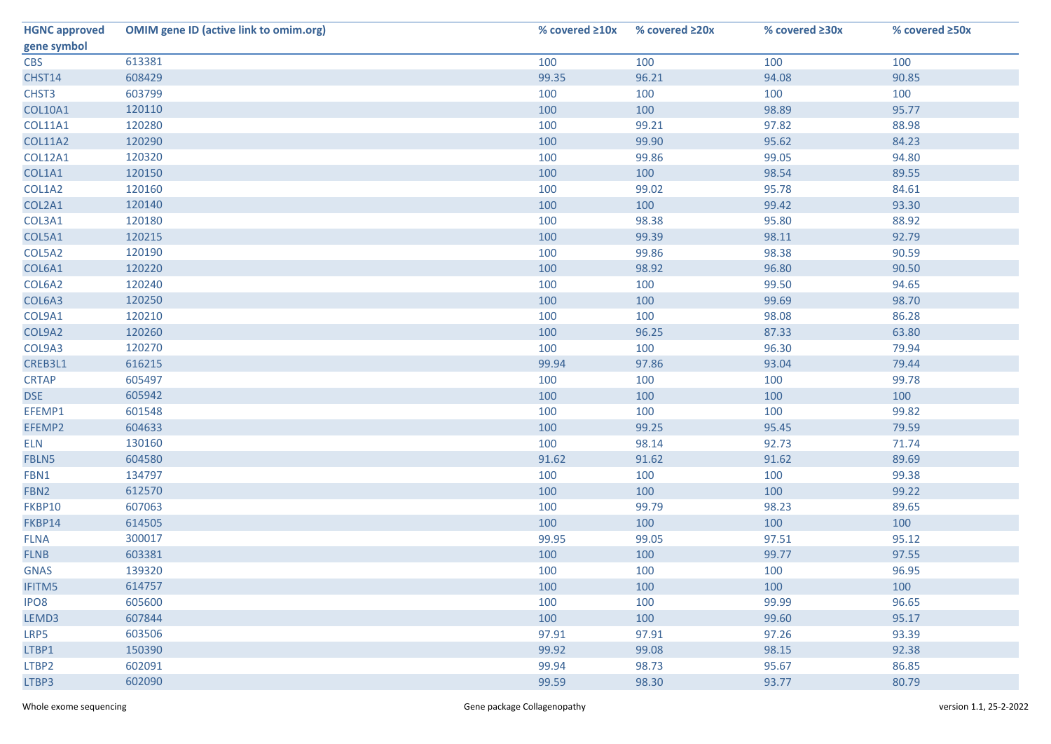| <b>HGNC approved</b> | <b>OMIM gene ID (active link to omim.org)</b> | % covered $\geq 10x$ | % covered $\geq 20x$ | % covered ≥30x | % covered ≥50x |
|----------------------|-----------------------------------------------|----------------------|----------------------|----------------|----------------|
| gene symbol          |                                               |                      |                      |                |                |
| <b>CBS</b>           | 613381                                        | 100                  | 100                  | 100            | 100            |
| CHST14               | 608429                                        | 99.35                | 96.21                | 94.08          | 90.85          |
| CHST3                | 603799                                        | 100                  | 100                  | 100            | 100            |
| <b>COL10A1</b>       | 120110                                        | 100                  | 100                  | 98.89          | 95.77          |
| <b>COL11A1</b>       | 120280                                        | 100                  | 99.21                | 97.82          | 88.98          |
| <b>COL11A2</b>       | 120290                                        | 100                  | 99.90                | 95.62          | 84.23          |
| <b>COL12A1</b>       | 120320                                        | 100                  | 99.86                | 99.05          | 94.80          |
| COL1A1               | 120150                                        | 100                  | 100                  | 98.54          | 89.55          |
| COL1A2               | 120160                                        | 100                  | 99.02                | 95.78          | 84.61          |
| COL2A1               | 120140                                        | 100                  | 100                  | 99.42          | 93.30          |
| COL3A1               | 120180                                        | 100                  | 98.38                | 95.80          | 88.92          |
| COL5A1               | 120215                                        | 100                  | 99.39                | 98.11          | 92.79          |
| COL5A2               | 120190                                        | 100                  | 99.86                | 98.38          | 90.59          |
| COL6A1               | 120220                                        | 100                  | 98.92                | 96.80          | 90.50          |
| COL6A2               | 120240                                        | 100                  | 100                  | 99.50          | 94.65          |
| COL6A3               | 120250                                        | 100                  | 100                  | 99.69          | 98.70          |
| COL9A1               | 120210                                        | 100                  | 100                  | 98.08          | 86.28          |
| COL9A2               | 120260                                        | 100                  | 96.25                | 87.33          | 63.80          |
| COL9A3               | 120270                                        | 100                  | 100                  | 96.30          | 79.94          |
| CREB3L1              | 616215                                        | 99.94                | 97.86                | 93.04          | 79.44          |
| <b>CRTAP</b>         | 605497                                        | 100                  | 100                  | 100            | 99.78          |
| <b>DSE</b>           | 605942                                        | 100                  | 100                  | 100            | 100            |
| EFEMP1               | 601548                                        | 100                  | 100                  | 100            | 99.82          |
| EFEMP2               | 604633                                        | 100                  | 99.25                | 95.45          | 79.59          |
| <b>ELN</b>           | 130160                                        | 100                  | 98.14                | 92.73          | 71.74          |
| FBLN5                | 604580                                        | 91.62                | 91.62                | 91.62          | 89.69          |
| FBN1                 | 134797                                        | 100                  | 100                  | 100            | 99.38          |
| FBN <sub>2</sub>     | 612570                                        | 100                  | 100                  | 100            | 99.22          |
| FKBP10               | 607063                                        | 100                  | 99.79                | 98.23          | 89.65          |
| FKBP14               | 614505                                        | 100                  | 100                  | 100            | 100            |
| <b>FLNA</b>          | 300017                                        | 99.95                | 99.05                | 97.51          | 95.12          |
| <b>FLNB</b>          | 603381                                        | 100                  | 100                  | 99.77          | 97.55          |
| <b>GNAS</b>          | 139320                                        | 100                  | 100                  | 100            | 96.95          |
| <b>IFITM5</b>        | 614757                                        | 100                  | 100                  | 100            | 100            |
| IPO <sub>8</sub>     | 605600                                        | 100                  | 100                  | 99.99          | 96.65          |
| LEMD3                | 607844                                        | 100                  | 100                  | 99.60          | 95.17          |
| LRP5                 | 603506                                        | 97.91                | 97.91                | 97.26          | 93.39          |
| LTBP1                | 150390                                        | 99.92                | 99.08                | 98.15          | 92.38          |
| LTBP2                | 602091                                        | 99.94                | 98.73                | 95.67          | 86.85          |
| LTBP3                | 602090                                        | 99.59                | 98.30                | 93.77          | 80.79          |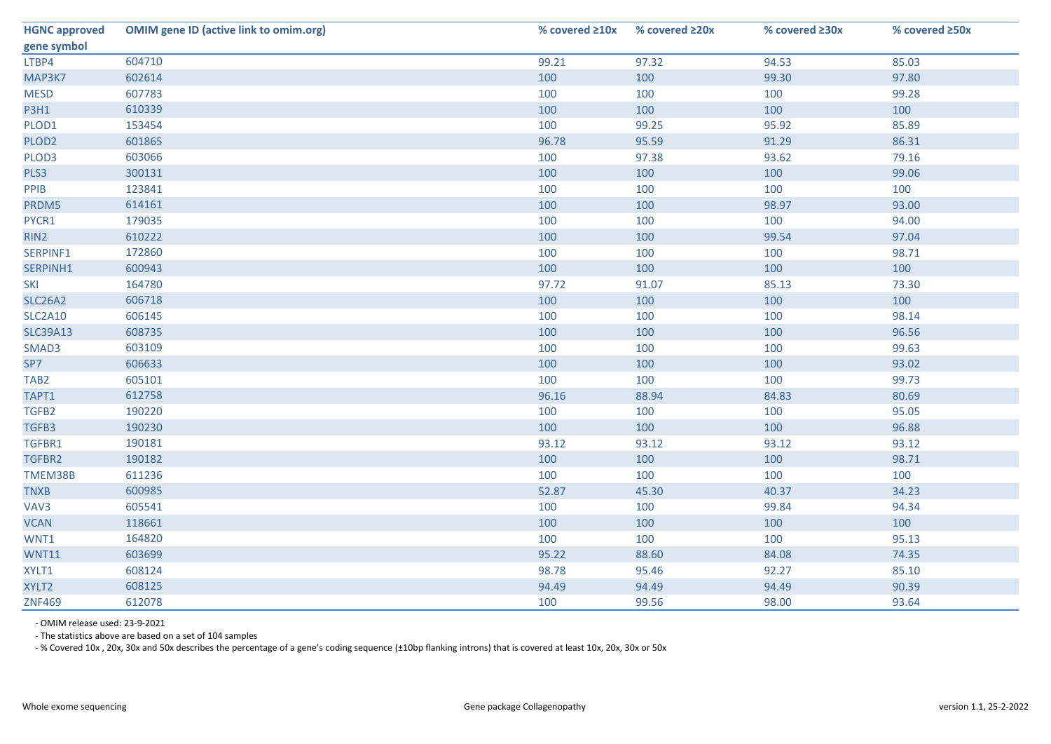| <b>HGNC approved</b> | <b>OMIM gene ID (active link to omim.org)</b> | % covered $\geq 10x$ | % covered ≥20x | % covered ≥30x | % covered ≥50x |
|----------------------|-----------------------------------------------|----------------------|----------------|----------------|----------------|
| gene symbol          |                                               |                      |                |                |                |
| LTBP4                | 604710                                        | 99.21                | 97.32          | 94.53          | 85.03          |
| MAP3K7               | 602614                                        | 100                  | 100            | 99.30          | 97.80          |
| <b>MESD</b>          | 607783                                        | 100                  | 100            | 100            | 99.28          |
| <b>P3H1</b>          | 610339                                        | 100                  | 100            | 100            | 100            |
| PLOD1                | 153454                                        | 100                  | 99.25          | 95.92          | 85.89          |
| PLOD <sub>2</sub>    | 601865                                        | 96.78                | 95.59          | 91.29          | 86.31          |
| PLOD3                | 603066                                        | 100                  | 97.38          | 93.62          | 79.16          |
| PLS3                 | 300131                                        | 100                  | 100            | 100            | 99.06          |
| PPIB                 | 123841                                        | 100                  | 100            | 100            | 100            |
| PRDM5                | 614161                                        | 100                  | 100            | 98.97          | 93.00          |
| PYCR1                | 179035                                        | 100                  | 100            | 100            | 94.00          |
| RIN2                 | 610222                                        | 100                  | 100            | 99.54          | 97.04          |
| SERPINF1             | 172860                                        | 100                  | 100            | 100            | 98.71          |
| SERPINH1             | 600943                                        | 100                  | 100            | 100            | 100            |
| SKI                  | 164780                                        | 97.72                | 91.07          | 85.13          | 73.30          |
| <b>SLC26A2</b>       | 606718                                        | 100                  | 100            | 100            | 100            |
| <b>SLC2A10</b>       | 606145                                        | 100                  | 100            | 100            | 98.14          |
| <b>SLC39A13</b>      | 608735                                        | 100                  | 100            | 100            | 96.56          |
| SMAD3                | 603109                                        | 100                  | 100            | 100            | 99.63          |
| SP7                  | 606633                                        | 100                  | 100            | 100            | 93.02          |
| TAB <sub>2</sub>     | 605101                                        | 100                  | 100            | 100            | 99.73          |
| TAPT1                | 612758                                        | 96.16                | 88.94          | 84.83          | 80.69          |
| TGFB2                | 190220                                        | 100                  | 100            | 100            | 95.05          |
| TGFB3                | 190230                                        | 100                  | 100            | 100            | 96.88          |
| TGFBR1               | 190181                                        | 93.12                | 93.12          | 93.12          | 93.12          |
| TGFBR2               | 190182                                        | 100                  | 100            | 100            | 98.71          |
| TMEM38B              | 611236                                        | 100                  | 100            | 100            | 100            |
| <b>TNXB</b>          | 600985                                        | 52.87                | 45.30          | 40.37          | 34.23          |
| VAV3                 | 605541                                        | 100                  | 100            | 99.84          | 94.34          |
| <b>VCAN</b>          | 118661                                        | 100                  | 100            | 100            | 100            |
| WNT1                 | 164820                                        | 100                  | 100            | 100            | 95.13          |
| <b>WNT11</b>         | 603699                                        | 95.22                | 88.60          | 84.08          | 74.35          |
| XYLT1                | 608124                                        | 98.78                | 95.46          | 92.27          | 85.10          |
| XYLT2                | 608125                                        | 94.49                | 94.49          | 94.49          | 90.39          |
| <b>ZNF469</b>        | 612078                                        | 100                  | 99.56          | 98.00          | 93.64          |

- OMIM release used: 23-9-2021

- The statistics above are based on a set of 104 samples

- % Covered 10x , 20x, 30x and 50x describes the percentage of a gene's coding sequence (±10bp flanking introns) that is covered at least 10x, 20x, 30x or 50x